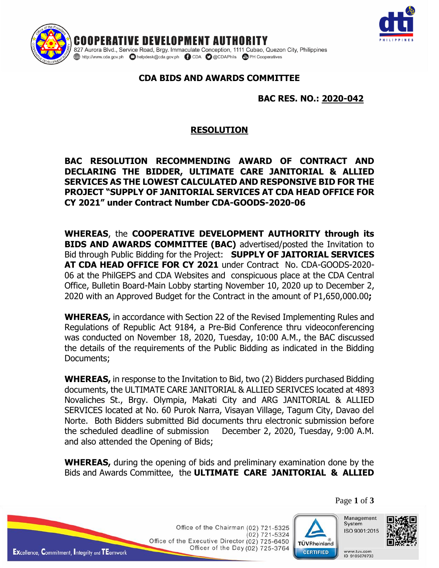

IENT AUTHORITY RNOPF 827 Aurora Blvd., Service Road, Brgy. Immaculate Conception, 1111 Cubao, Quezon City, Philippines 

## **CDA BIDS AND AWARDS COMMITTEE**

## **BAC RES. NO.: 2020-042**

## **RESOLUTION**

**BAC RESOLUTION RECOMMENDING AWARD OF CONTRACT AND DECLARING THE BIDDER, ULTIMATE CARE JANITORIAL & ALLIED SERVICES AS THE LOWEST CALCULATED AND RESPONSIVE BID FOR THE PROJECT "SUPPLY OF JANITORIAL SERVICES AT CDA HEAD OFFICE FOR CY 2021" under Contract Number CDA-GOODS-2020-06**

**WHEREAS**, the **COOPERATIVE DEVELOPMENT AUTHORITY through its BIDS AND AWARDS COMMITTEE (BAC)** advertised/posted the Invitation to Bid through Public Bidding for the Project: **SUPPLY OF JAITORIAL SERVICES AT CDA HEAD OFFICE FOR CY 2021** under Contract No. CDA-GOODS-2020- 06 at the PhilGEPS and CDA Websites and conspicuous place at the CDA Central Office, Bulletin Board-Main Lobby starting November 10, 2020 up to December 2, 2020 with an Approved Budget for the Contract in the amount of P1,650,000.00**;**

**WHEREAS,** in accordance with Section 22 of the Revised Implementing Rules and Regulations of Republic Act 9184, a Pre-Bid Conference thru videoconferencing was conducted on November 18, 2020, Tuesday, 10:00 A.M., the BAC discussed the details of the requirements of the Public Bidding as indicated in the Bidding Documents;

**WHEREAS,** in response to the Invitation to Bid, two (2) Bidders purchased Bidding documents, the ULTIMATE CARE JANITORIAL & ALLIED SERIVCES located at 4893 Novaliches St., Brgy. Olympia, Makati City and ARG JANITORIAL & ALLIED SERVICES located at No. 60 Purok Narra, Visayan Village, Tagum City, Davao del Norte. Both Bidders submitted Bid documents thru electronic submission before the scheduled deadline of submission December 2, 2020, Tuesday, 9:00 A.M. and also attended the Opening of Bids;

**WHEREAS,** during the opening of bids and preliminary examination done by the Bids and Awards Committee, the **ULTIMATE CARE JANITORIAL & ALLIED**

Page **1** of **3**

Office of the Chairman (02) 721-5325  $(02)$  721-5324 Office of the Executive Director (02) 725-6450 Officer of the Day (02) 725-3764



Management System ISO 9001:2015

www.tuv.com



**EXcellence, Commitment, Integrity and TEamwork**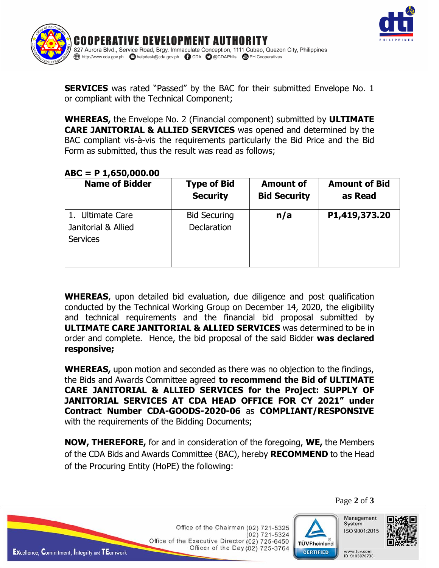



**SERVICES** was rated "Passed" by the BAC for their submitted Envelope No. 1 or compliant with the Technical Component;

**WHEREAS,** the Envelope No. 2 (Financial component) submitted by **ULTIMATE CARE JANITORIAL & ALLIED SERVICES** was opened and determined by the BAC compliant vis-à-vis the requirements particularly the Bid Price and the Bid Form as submitted, thus the result was read as follows;

## **ABC = P 1,650,000.00**

| <b>Name of Bidder</b>                                      | <b>Type of Bid</b>                        | <b>Amount of</b>    | <b>Amount of Bid</b> |
|------------------------------------------------------------|-------------------------------------------|---------------------|----------------------|
|                                                            | <b>Security</b>                           | <b>Bid Security</b> | as Read              |
| 1. Ultimate Care<br>Janitorial & Allied<br><b>Services</b> | <b>Bid Securing</b><br><b>Declaration</b> | n/a                 | P1,419,373.20        |

**WHEREAS**, upon detailed bid evaluation, due diligence and post qualification conducted by the Technical Working Group on December 14, 2020, the eligibility and technical requirements and the financial bid proposal submitted by **ULTIMATE CARE JANITORIAL & ALLIED SERVICES** was determined to be in order and complete. Hence, the bid proposal of the said Bidder **was declared responsive;**

**WHEREAS,** upon motion and seconded as there was no objection to the findings, the Bids and Awards Committee agreed **to recommend the Bid of ULTIMATE CARE JANITORIAL & ALLIED SERVICES for the Project: SUPPLY OF JANITORIAL SERVICES AT CDA HEAD OFFICE FOR CY 2021" under Contract Number CDA-GOODS-2020-06** as **COMPLIANT/RESPONSIVE** with the requirements of the Bidding Documents;

**NOW, THEREFORE,** for and in consideration of the foregoing, **WE,** the Members of the CDA Bids and Awards Committee (BAC), hereby **RECOMMEND** to the Head of the Procuring Entity (HoPE) the following:

> Office of the Chairman (02) 721-5325  $(02)$  721-5324 Office of the Executive Director (02) 725-6450 Officer of the Day (02) 725-3764



Page **2** of **3**